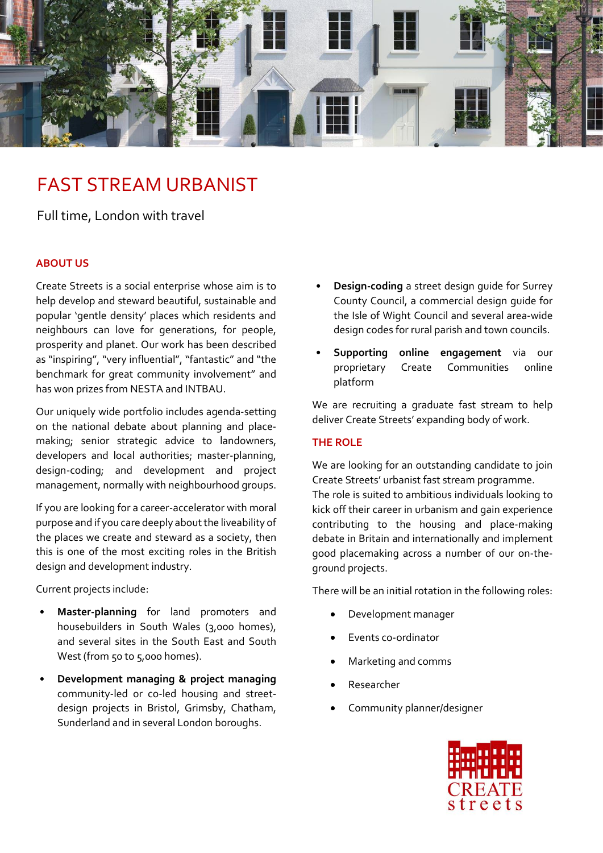

# FAST STREAM URBANIST

## Full time, London with travel

## **ABOUT US**

Create Streets is a social enterprise whose aim is to help develop and steward beautiful, sustainable and popular 'gentle density' places which residents and neighbours can love for generations, for people, prosperity and planet. Our work has been described as "inspiring", "very influential", "fantastic" and "the benchmark for great community involvement" and has won prizes from NESTA and INTBAU.

Our uniquely wide portfolio includes agenda-setting on the national debate about planning and placemaking; senior strategic advice to landowners, developers and local authorities; master-planning, design-coding; and development and project management, normally with neighbourhood groups.

If you are looking for a career-accelerator with moral purpose and if you care deeply about the liveability of the places we create and steward as a society, then this is one of the most exciting roles in the British design and development industry.

Current projects include:

- **Master-planning** for land promoters and housebuilders in South Wales (3,000 homes), and several sites in the South East and South West (from 50 to 5,000 homes).
- **Development managing & project managing** community-led or co-led housing and streetdesign projects in Bristol, Grimsby, Chatham, Sunderland and in several London boroughs.
- **Design-coding** a street design guide for Surrey County Council, a commercial design guide for the Isle of Wight Council and several area-wide design codes for rural parish and town councils.
- **Supporting online engagement** via our proprietary Create Communities online platform

We are recruiting a graduate fast stream to help deliver Create Streets' expanding body of work.

## **THE ROLE**

We are looking for an outstanding candidate to join Create Streets' urbanist fast stream programme.

The role is suited to ambitious individuals looking to kick off their career in urbanism and gain experience contributing to the housing and place-making debate in Britain and internationally and implement good placemaking across a number of our on-theground projects.

There will be an initial rotation in the following roles:

- Development manager
- Events co-ordinator
- Marketing and comms
- Researcher
- Community planner/designer